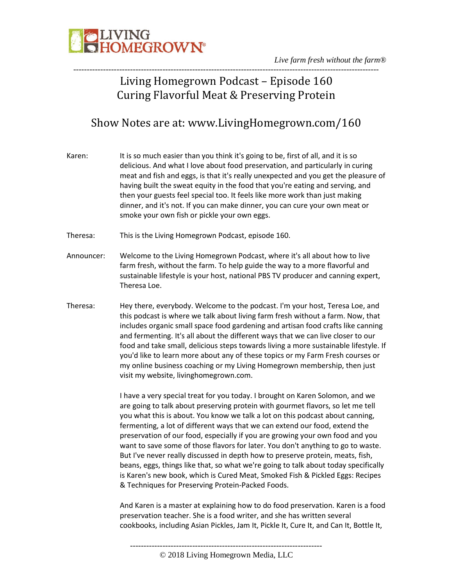

*Live farm fresh without the farm®* -----------------------------------------------------------------------------------------------------------------

### Living Homegrown Podcast – Episode 160 Curing Flavorful Meat & Preserving Protein

### Show Notes are at: www.LivingHomegrown.com/160

- Karen: It is so much easier than you think it's going to be, first of all, and it is so delicious. And what I love about food preservation, and particularly in curing meat and fish and eggs, is that it's really unexpected and you get the pleasure of having built the sweat equity in the food that you're eating and serving, and then your guests feel special too. It feels like more work than just making dinner, and it's not. If you can make dinner, you can cure your own meat or smoke your own fish or pickle your own eggs.
- Theresa: This is the Living Homegrown Podcast, episode 160.
- Announcer: Welcome to the Living Homegrown Podcast, where it's all about how to live farm fresh, without the farm. To help guide the way to a more flavorful and sustainable lifestyle is your host, national PBS TV producer and canning expert, Theresa Loe.
- Theresa: Hey there, everybody. Welcome to the podcast. I'm your host, Teresa Loe, and this podcast is where we talk about living farm fresh without a farm. Now, that includes organic small space food gardening and artisan food crafts like canning and fermenting. It's all about the different ways that we can live closer to our food and take small, delicious steps towards living a more sustainable lifestyle. If you'd like to learn more about any of these topics or my Farm Fresh courses or my online business coaching or my Living Homegrown membership, then just visit my website, livinghomegrown.com.

I have a very special treat for you today. I brought on Karen Solomon, and we are going to talk about preserving protein with gourmet flavors, so let me tell you what this is about. You know we talk a lot on this podcast about canning, fermenting, a lot of different ways that we can extend our food, extend the preservation of our food, especially if you are growing your own food and you want to save some of those flavors for later. You don't anything to go to waste. But I've never really discussed in depth how to preserve protein, meats, fish, beans, eggs, things like that, so what we're going to talk about today specifically is Karen's new book, which is Cured Meat, Smoked Fish & Pickled Eggs: Recipes & Techniques for Preserving Protein-Packed Foods.

And Karen is a master at explaining how to do food preservation. Karen is a food preservation teacher. She is a food writer, and she has written several cookbooks, including Asian Pickles, Jam It, Pickle It, Cure It, and Can It, Bottle It,

-----------------------------------------------------------------------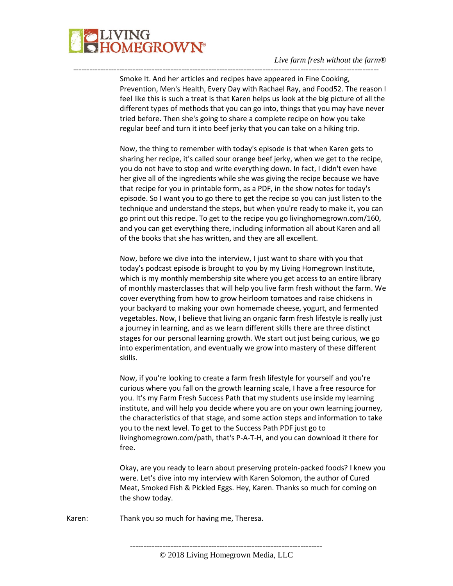

Smoke It. And her articles and recipes have appeared in Fine Cooking, Prevention, Men's Health, Every Day with Rachael Ray, and Food52. The reason I feel like this is such a treat is that Karen helps us look at the big picture of all the different types of methods that you can go into, things that you may have never tried before. Then she's going to share a complete recipe on how you take regular beef and turn it into beef jerky that you can take on a hiking trip.

-----------------------------------------------------------------------------------------------------------------

Now, the thing to remember with today's episode is that when Karen gets to sharing her recipe, it's called sour orange beef jerky, when we get to the recipe, you do not have to stop and write everything down. In fact, I didn't even have her give all of the ingredients while she was giving the recipe because we have that recipe for you in printable form, as a PDF, in the show notes for today's episode. So I want you to go there to get the recipe so you can just listen to the technique and understand the steps, but when you're ready to make it, you can go print out this recipe. To get to the recipe you go livinghomegrown.com/160, and you can get everything there, including information all about Karen and all of the books that she has written, and they are all excellent.

Now, before we dive into the interview, I just want to share with you that today's podcast episode is brought to you by my Living Homegrown Institute, which is my monthly membership site where you get access to an entire library of monthly masterclasses that will help you live farm fresh without the farm. We cover everything from how to grow heirloom tomatoes and raise chickens in your backyard to making your own homemade cheese, yogurt, and fermented vegetables. Now, I believe that living an organic farm fresh lifestyle is really just a journey in learning, and as we learn different skills there are three distinct stages for our personal learning growth. We start out just being curious, we go into experimentation, and eventually we grow into mastery of these different skills.

Now, if you're looking to create a farm fresh lifestyle for yourself and you're curious where you fall on the growth learning scale, I have a free resource for you. It's my Farm Fresh Success Path that my students use inside my learning institute, and will help you decide where you are on your own learning journey, the characteristics of that stage, and some action steps and information to take you to the next level. To get to the Success Path PDF just go to livinghomegrown.com/path, that's P-A-T-H, and you can download it there for free.

Okay, are you ready to learn about preserving protein-packed foods? I knew you were. Let's dive into my interview with Karen Solomon, the author of Cured Meat, Smoked Fish & Pickled Eggs. Hey, Karen. Thanks so much for coming on the show today.

Karen: Thank you so much for having me, Theresa.

-----------------------------------------------------------------------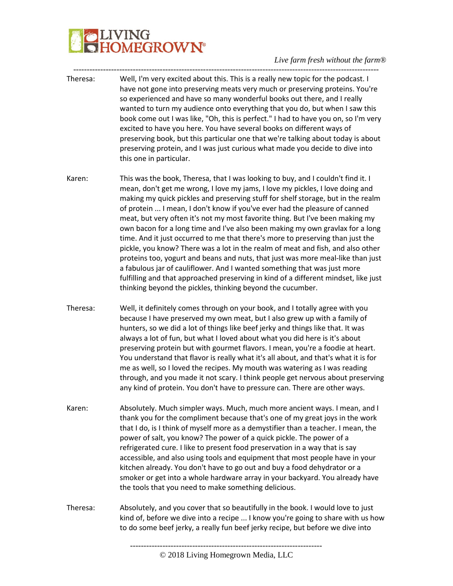# **JVING<br>HOMEGROWN®**

- ----------------------------------------------------------------------------------------------------------------- Theresa: Well, I'm very excited about this. This is a really new topic for the podcast. I have not gone into preserving meats very much or preserving proteins. You're so experienced and have so many wonderful books out there, and I really wanted to turn my audience onto everything that you do, but when I saw this book come out I was like, "Oh, this is perfect." I had to have you on, so I'm very excited to have you here. You have several books on different ways of preserving book, but this particular one that we're talking about today is about preserving protein, and I was just curious what made you decide to dive into this one in particular.
- Karen: This was the book, Theresa, that I was looking to buy, and I couldn't find it. I mean, don't get me wrong, I love my jams, I love my pickles, I love doing and making my quick pickles and preserving stuff for shelf storage, but in the realm of protein ... I mean, I don't know if you've ever had the pleasure of canned meat, but very often it's not my most favorite thing. But I've been making my own bacon for a long time and I've also been making my own gravlax for a long time. And it just occurred to me that there's more to preserving than just the pickle, you know? There was a lot in the realm of meat and fish, and also other proteins too, yogurt and beans and nuts, that just was more meal-like than just a fabulous jar of cauliflower. And I wanted something that was just more fulfilling and that approached preserving in kind of a different mindset, like just thinking beyond the pickles, thinking beyond the cucumber.
- Theresa: Well, it definitely comes through on your book, and I totally agree with you because I have preserved my own meat, but I also grew up with a family of hunters, so we did a lot of things like beef jerky and things like that. It was always a lot of fun, but what I loved about what you did here is it's about preserving protein but with gourmet flavors. I mean, you're a foodie at heart. You understand that flavor is really what it's all about, and that's what it is for me as well, so I loved the recipes. My mouth was watering as I was reading through, and you made it not scary. I think people get nervous about preserving any kind of protein. You don't have to pressure can. There are other ways.
- Karen: Absolutely. Much simpler ways. Much, much more ancient ways. I mean, and I thank you for the compliment because that's one of my great joys in the work that I do, is I think of myself more as a demystifier than a teacher. I mean, the power of salt, you know? The power of a quick pickle. The power of a refrigerated cure. I like to present food preservation in a way that is say accessible, and also using tools and equipment that most people have in your kitchen already. You don't have to go out and buy a food dehydrator or a smoker or get into a whole hardware array in your backyard. You already have the tools that you need to make something delicious.
- Theresa: Absolutely, and you cover that so beautifully in the book. I would love to just kind of, before we dive into a recipe ... I know you're going to share with us how to do some beef jerky, a really fun beef jerky recipe, but before we dive into

<sup>-----------------------------------------------------------------------</sup>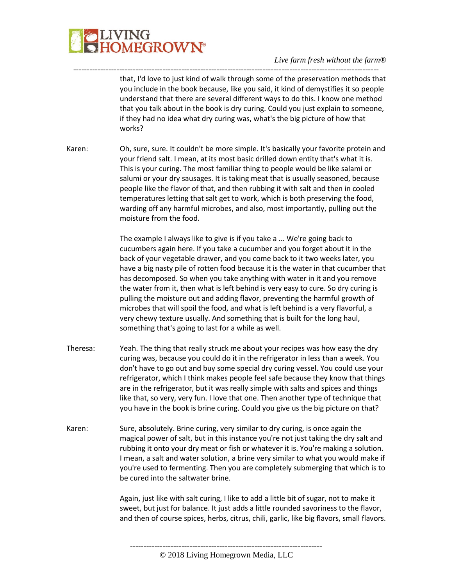

that, I'd love to just kind of walk through some of the preservation methods that you include in the book because, like you said, it kind of demystifies it so people understand that there are several different ways to do this. I know one method that you talk about in the book is dry curing. Could you just explain to someone, if they had no idea what dry curing was, what's the big picture of how that works?

Karen: Oh, sure, sure. It couldn't be more simple. It's basically your favorite protein and your friend salt. I mean, at its most basic drilled down entity that's what it is. This is your curing. The most familiar thing to people would be like salami or salumi or your dry sausages. It is taking meat that is usually seasoned, because people like the flavor of that, and then rubbing it with salt and then in cooled temperatures letting that salt get to work, which is both preserving the food, warding off any harmful microbes, and also, most importantly, pulling out the moisture from the food.

-----------------------------------------------------------------------------------------------------------------

The example I always like to give is if you take a ... We're going back to cucumbers again here. If you take a cucumber and you forget about it in the back of your vegetable drawer, and you come back to it two weeks later, you have a big nasty pile of rotten food because it is the water in that cucumber that has decomposed. So when you take anything with water in it and you remove the water from it, then what is left behind is very easy to cure. So dry curing is pulling the moisture out and adding flavor, preventing the harmful growth of microbes that will spoil the food, and what is left behind is a very flavorful, a very chewy texture usually. And something that is built for the long haul, something that's going to last for a while as well.

- Theresa: Yeah. The thing that really struck me about your recipes was how easy the dry curing was, because you could do it in the refrigerator in less than a week. You don't have to go out and buy some special dry curing vessel. You could use your refrigerator, which I think makes people feel safe because they know that things are in the refrigerator, but it was really simple with salts and spices and things like that, so very, very fun. I love that one. Then another type of technique that you have in the book is brine curing. Could you give us the big picture on that?
- Karen: Sure, absolutely. Brine curing, very similar to dry curing, is once again the magical power of salt, but in this instance you're not just taking the dry salt and rubbing it onto your dry meat or fish or whatever it is. You're making a solution. I mean, a salt and water solution, a brine very similar to what you would make if you're used to fermenting. Then you are completely submerging that which is to be cured into the saltwater brine.

Again, just like with salt curing, I like to add a little bit of sugar, not to make it sweet, but just for balance. It just adds a little rounded savoriness to the flavor, and then of course spices, herbs, citrus, chili, garlic, like big flavors, small flavors.

<sup>-----------------------------------------------------------------------</sup> © 2018 Living Homegrown Media, LLC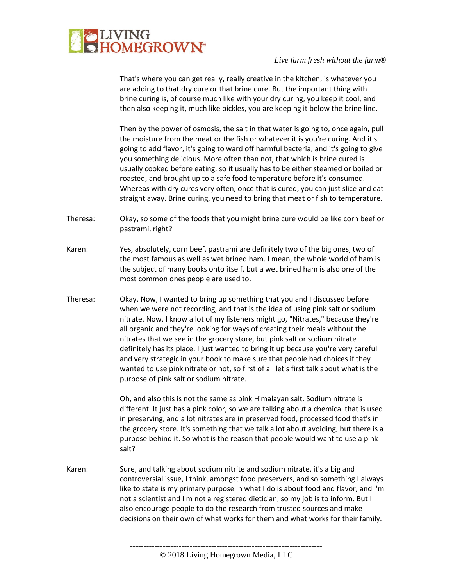

That's where you can get really, really creative in the kitchen, is whatever you are adding to that dry cure or that brine cure. But the important thing with brine curing is, of course much like with your dry curing, you keep it cool, and then also keeping it, much like pickles, you are keeping it below the brine line.

-----------------------------------------------------------------------------------------------------------------

Then by the power of osmosis, the salt in that water is going to, once again, pull the moisture from the meat or the fish or whatever it is you're curing. And it's going to add flavor, it's going to ward off harmful bacteria, and it's going to give you something delicious. More often than not, that which is brine cured is usually cooked before eating, so it usually has to be either steamed or boiled or roasted, and brought up to a safe food temperature before it's consumed. Whereas with dry cures very often, once that is cured, you can just slice and eat straight away. Brine curing, you need to bring that meat or fish to temperature.

- Theresa: Okay, so some of the foods that you might brine cure would be like corn beef or pastrami, right?
- Karen: Yes, absolutely, corn beef, pastrami are definitely two of the big ones, two of the most famous as well as wet brined ham. I mean, the whole world of ham is the subject of many books onto itself, but a wet brined ham is also one of the most common ones people are used to.
- Theresa: Okay. Now, I wanted to bring up something that you and I discussed before when we were not recording, and that is the idea of using pink salt or sodium nitrate. Now, I know a lot of my listeners might go, "Nitrates," because they're all organic and they're looking for ways of creating their meals without the nitrates that we see in the grocery store, but pink salt or sodium nitrate definitely has its place. I just wanted to bring it up because you're very careful and very strategic in your book to make sure that people had choices if they wanted to use pink nitrate or not, so first of all let's first talk about what is the purpose of pink salt or sodium nitrate.

Oh, and also this is not the same as pink Himalayan salt. Sodium nitrate is different. It just has a pink color, so we are talking about a chemical that is used in preserving, and a lot nitrates are in preserved food, processed food that's in the grocery store. It's something that we talk a lot about avoiding, but there is a purpose behind it. So what is the reason that people would want to use a pink salt?

Karen: Sure, and talking about sodium nitrite and sodium nitrate, it's a big and controversial issue, I think, amongst food preservers, and so something I always like to state is my primary purpose in what I do is about food and flavor, and I'm not a scientist and I'm not a registered dietician, so my job is to inform. But I also encourage people to do the research from trusted sources and make decisions on their own of what works for them and what works for their family.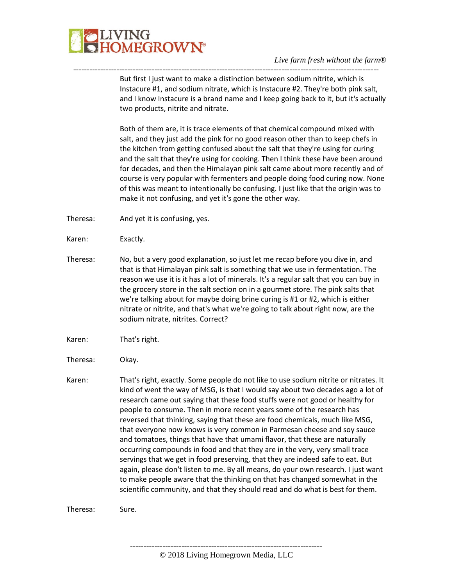

----------------------------------------------------------------------------------------------------------------- But first I just want to make a distinction between sodium nitrite, which is Instacure #1, and sodium nitrate, which is Instacure #2. They're both pink salt, and I know Instacure is a brand name and I keep going back to it, but it's actually two products, nitrite and nitrate.

> Both of them are, it is trace elements of that chemical compound mixed with salt, and they just add the pink for no good reason other than to keep chefs in the kitchen from getting confused about the salt that they're using for curing and the salt that they're using for cooking. Then I think these have been around for decades, and then the Himalayan pink salt came about more recently and of course is very popular with fermenters and people doing food curing now. None of this was meant to intentionally be confusing. I just like that the origin was to make it not confusing, and yet it's gone the other way.

Theresa: And yet it is confusing, yes.

Karen: Exactly.

- Theresa: No, but a very good explanation, so just let me recap before you dive in, and that is that Himalayan pink salt is something that we use in fermentation. The reason we use it is it has a lot of minerals. It's a regular salt that you can buy in the grocery store in the salt section on in a gourmet store. The pink salts that we're talking about for maybe doing brine curing is #1 or #2, which is either nitrate or nitrite, and that's what we're going to talk about right now, are the sodium nitrate, nitrites. Correct?
- Karen: That's right.
- Theresa: Okay.
- Karen: That's right, exactly. Some people do not like to use sodium nitrite or nitrates. It kind of went the way of MSG, is that I would say about two decades ago a lot of research came out saying that these food stuffs were not good or healthy for people to consume. Then in more recent years some of the research has reversed that thinking, saying that these are food chemicals, much like MSG, that everyone now knows is very common in Parmesan cheese and soy sauce and tomatoes, things that have that umami flavor, that these are naturally occurring compounds in food and that they are in the very, very small trace servings that we get in food preserving, that they are indeed safe to eat. But again, please don't listen to me. By all means, do your own research. I just want to make people aware that the thinking on that has changed somewhat in the scientific community, and that they should read and do what is best for them.

Theresa: Sure.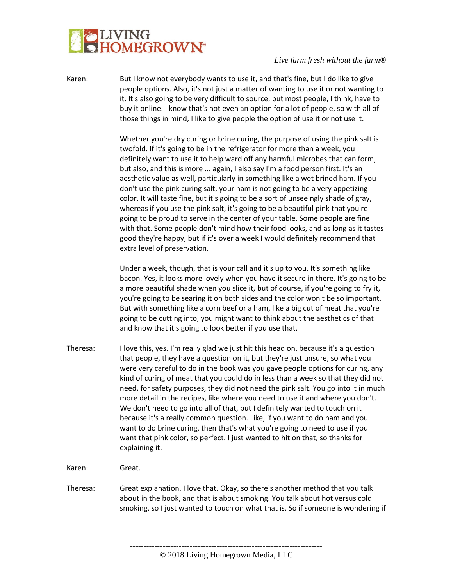# IVING<br>IOMEGROWN®

*Live farm fresh without the farm®*

----------------------------------------------------------------------------------------------------------------- Karen: But I know not everybody wants to use it, and that's fine, but I do like to give people options. Also, it's not just a matter of wanting to use it or not wanting to it. It's also going to be very difficult to source, but most people, I think, have to buy it online. I know that's not even an option for a lot of people, so with all of those things in mind, I like to give people the option of use it or not use it.

> Whether you're dry curing or brine curing, the purpose of using the pink salt is twofold. If it's going to be in the refrigerator for more than a week, you definitely want to use it to help ward off any harmful microbes that can form, but also, and this is more ... again, I also say I'm a food person first. It's an aesthetic value as well, particularly in something like a wet brined ham. If you don't use the pink curing salt, your ham is not going to be a very appetizing color. It will taste fine, but it's going to be a sort of unseeingly shade of gray, whereas if you use the pink salt, it's going to be a beautiful pink that you're going to be proud to serve in the center of your table. Some people are fine with that. Some people don't mind how their food looks, and as long as it tastes good they're happy, but if it's over a week I would definitely recommend that extra level of preservation.

Under a week, though, that is your call and it's up to you. It's something like bacon. Yes, it looks more lovely when you have it secure in there. It's going to be a more beautiful shade when you slice it, but of course, if you're going to fry it, you're going to be searing it on both sides and the color won't be so important. But with something like a corn beef or a ham, like a big cut of meat that you're going to be cutting into, you might want to think about the aesthetics of that and know that it's going to look better if you use that.

Theresa: I love this, yes. I'm really glad we just hit this head on, because it's a question that people, they have a question on it, but they're just unsure, so what you were very careful to do in the book was you gave people options for curing, any kind of curing of meat that you could do in less than a week so that they did not need, for safety purposes, they did not need the pink salt. You go into it in much more detail in the recipes, like where you need to use it and where you don't. We don't need to go into all of that, but I definitely wanted to touch on it because it's a really common question. Like, if you want to do ham and you want to do brine curing, then that's what you're going to need to use if you want that pink color, so perfect. I just wanted to hit on that, so thanks for explaining it.

Karen: Great.

Theresa: Great explanation. I love that. Okay, so there's another method that you talk about in the book, and that is about smoking. You talk about hot versus cold smoking, so I just wanted to touch on what that is. So if someone is wondering if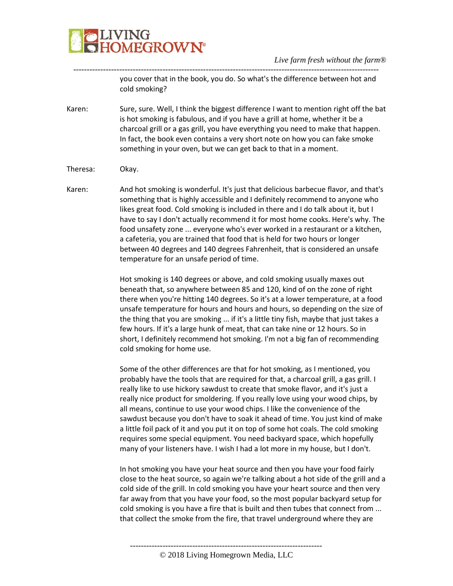

---------------------------------------------------------------------------------------------------------------- you cover that in the book, you do. So what's the difference between hot and cold smoking?

Karen: Sure, sure. Well, I think the biggest difference I want to mention right off the bat is hot smoking is fabulous, and if you have a grill at home, whether it be a charcoal grill or a gas grill, you have everything you need to make that happen. In fact, the book even contains a very short note on how you can fake smoke something in your oven, but we can get back to that in a moment.

Theresa: Okay.

Karen: And hot smoking is wonderful. It's just that delicious barbecue flavor, and that's something that is highly accessible and I definitely recommend to anyone who likes great food. Cold smoking is included in there and I do talk about it, but I have to say I don't actually recommend it for most home cooks. Here's why. The food unsafety zone ... everyone who's ever worked in a restaurant or a kitchen, a cafeteria, you are trained that food that is held for two hours or longer between 40 degrees and 140 degrees Fahrenheit, that is considered an unsafe temperature for an unsafe period of time.

> Hot smoking is 140 degrees or above, and cold smoking usually maxes out beneath that, so anywhere between 85 and 120, kind of on the zone of right there when you're hitting 140 degrees. So it's at a lower temperature, at a food unsafe temperature for hours and hours and hours, so depending on the size of the thing that you are smoking ... if it's a little tiny fish, maybe that just takes a few hours. If it's a large hunk of meat, that can take nine or 12 hours. So in short, I definitely recommend hot smoking. I'm not a big fan of recommending cold smoking for home use.

> Some of the other differences are that for hot smoking, as I mentioned, you probably have the tools that are required for that, a charcoal grill, a gas grill. I really like to use hickory sawdust to create that smoke flavor, and it's just a really nice product for smoldering. If you really love using your wood chips, by all means, continue to use your wood chips. I like the convenience of the sawdust because you don't have to soak it ahead of time. You just kind of make a little foil pack of it and you put it on top of some hot coals. The cold smoking requires some special equipment. You need backyard space, which hopefully many of your listeners have. I wish I had a lot more in my house, but I don't.

In hot smoking you have your heat source and then you have your food fairly close to the heat source, so again we're talking about a hot side of the grill and a cold side of the grill. In cold smoking you have your heart source and then very far away from that you have your food, so the most popular backyard setup for cold smoking is you have a fire that is built and then tubes that connect from ... that collect the smoke from the fire, that travel underground where they are

----------------------------------------------------------------------- © 2018 Living Homegrown Media, LLC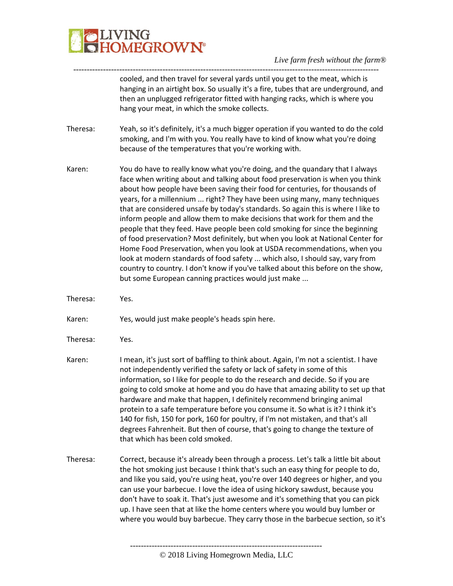

---------------------------------------------------------------------------------------------------------------- cooled, and then travel for several yards until you get to the meat, which is hanging in an airtight box. So usually it's a fire, tubes that are underground, and then an unplugged refrigerator fitted with hanging racks, which is where you hang your meat, in which the smoke collects.

- Theresa: Yeah, so it's definitely, it's a much bigger operation if you wanted to do the cold smoking, and I'm with you. You really have to kind of know what you're doing because of the temperatures that you're working with.
- Karen: You do have to really know what you're doing, and the quandary that I always face when writing about and talking about food preservation is when you think about how people have been saving their food for centuries, for thousands of years, for a millennium ... right? They have been using many, many techniques that are considered unsafe by today's standards. So again this is where I like to inform people and allow them to make decisions that work for them and the people that they feed. Have people been cold smoking for since the beginning of food preservation? Most definitely, but when you look at National Center for Home Food Preservation, when you look at USDA recommendations, when you look at modern standards of food safety ... which also, I should say, vary from country to country. I don't know if you've talked about this before on the show, but some European canning practices would just make ...
- Theresa: Yes.
- Karen: Yes, would just make people's heads spin here.
- Theresa: Yes.
- Karen: I mean, it's just sort of baffling to think about. Again, I'm not a scientist. I have not independently verified the safety or lack of safety in some of this information, so I like for people to do the research and decide. So if you are going to cold smoke at home and you do have that amazing ability to set up that hardware and make that happen, I definitely recommend bringing animal protein to a safe temperature before you consume it. So what is it? I think it's 140 for fish, 150 for pork, 160 for poultry, if I'm not mistaken, and that's all degrees Fahrenheit. But then of course, that's going to change the texture of that which has been cold smoked.
- Theresa: Correct, because it's already been through a process. Let's talk a little bit about the hot smoking just because I think that's such an easy thing for people to do, and like you said, you're using heat, you're over 140 degrees or higher, and you can use your barbecue. I love the idea of using hickory sawdust, because you don't have to soak it. That's just awesome and it's something that you can pick up. I have seen that at like the home centers where you would buy lumber or where you would buy barbecue. They carry those in the barbecue section, so it's

-----------------------------------------------------------------------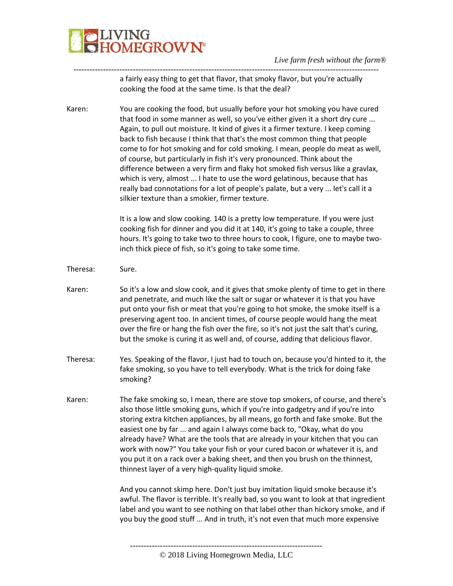

---------------------------------------------------------------------------------------------------------------- a fairly easy thing to get that flavor, that smoky flavor, but you're actually cooking the food at the same time. Is that the deal?

Karen: You are cooking the food, but usually before your hot smoking you have cured that food in some manner as well, so you've either given it a short dry cure ... Again, to pull out moisture. It kind of gives it a firmer texture. I keep coming back to fish because I think that that's the most common thing that people come to for hot smoking and for cold smoking. I mean, people do meat as well, of course, but particularly in fish it's very pronounced. Think about the difference between a very firm and flaky hot smoked fish versus like a gravlax, which is very, almost ... I hate to use the word gelatinous, because that has really bad connotations for a lot of people's palate, but a very ... let's call it a silkier texture than a smokier, firmer texture.

> It is a low and slow cooking. 140 is a pretty low temperature. If you were just cooking fish for dinner and you did it at 140, it's going to take a couple, three hours. It's going to take two to three hours to cook, I figure, one to maybe twoinch thick piece of fish, so it's going to take some time.

- Theresa: Sure.
- Karen: So it's a low and slow cook, and it gives that smoke plenty of time to get in there and penetrate, and much like the salt or sugar or whatever it is that you have put onto your fish or meat that you're going to hot smoke, the smoke itself is a preserving agent too. In ancient times, of course people would hang the meat over the fire or hang the fish over the fire, so it's not just the salt that's curing, but the smoke is curing it as well and, of course, adding that delicious flavor.
- Theresa: Yes. Speaking of the flavor, I just had to touch on, because you'd hinted to it, the fake smoking, so you have to tell everybody. What is the trick for doing fake smoking?
- Karen: The fake smoking so, I mean, there are stove top smokers, of course, and there's also those little smoking guns, which if you're into gadgetry and if you're into storing extra kitchen appliances, by all means, go forth and fake smoke. But the easiest one by far ... and again I always come back to, "Okay, what do you already have? What are the tools that are already in your kitchen that you can work with now?" You take your fish or your cured bacon or whatever it is, and you put it on a rack over a baking sheet, and then you brush on the thinnest, thinnest layer of a very high-quality liquid smoke.

And you cannot skimp here. Don't just buy imitation liquid smoke because it's awful. The flavor is terrible. It's really bad, so you want to look at that ingredient label and you want to see nothing on that label other than hickory smoke, and if you buy the good stuff ... And in truth, it's not even that much more expensive

© 2018 Living Homegrown Media, LLC

-----------------------------------------------------------------------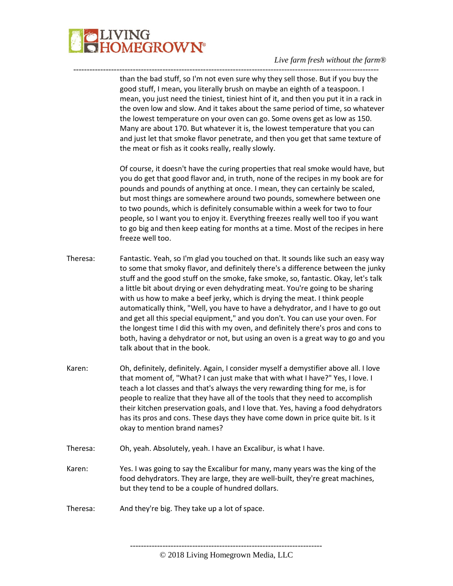

than the bad stuff, so I'm not even sure why they sell those. But if you buy the good stuff, I mean, you literally brush on maybe an eighth of a teaspoon. I mean, you just need the tiniest, tiniest hint of it, and then you put it in a rack in the oven low and slow. And it takes about the same period of time, so whatever the lowest temperature on your oven can go. Some ovens get as low as 150. Many are about 170. But whatever it is, the lowest temperature that you can and just let that smoke flavor penetrate, and then you get that same texture of the meat or fish as it cooks really, really slowly.

-----------------------------------------------------------------------------------------------------------------

Of course, it doesn't have the curing properties that real smoke would have, but you do get that good flavor and, in truth, none of the recipes in my book are for pounds and pounds of anything at once. I mean, they can certainly be scaled, but most things are somewhere around two pounds, somewhere between one to two pounds, which is definitely consumable within a week for two to four people, so I want you to enjoy it. Everything freezes really well too if you want to go big and then keep eating for months at a time. Most of the recipes in here freeze well too.

- Theresa: Fantastic. Yeah, so I'm glad you touched on that. It sounds like such an easy way to some that smoky flavor, and definitely there's a difference between the junky stuff and the good stuff on the smoke, fake smoke, so, fantastic. Okay, let's talk a little bit about drying or even dehydrating meat. You're going to be sharing with us how to make a beef jerky, which is drying the meat. I think people automatically think, "Well, you have to have a dehydrator, and I have to go out and get all this special equipment," and you don't. You can use your oven. For the longest time I did this with my oven, and definitely there's pros and cons to both, having a dehydrator or not, but using an oven is a great way to go and you talk about that in the book.
- Karen: Oh, definitely, definitely. Again, I consider myself a demystifier above all. I love that moment of, "What? I can just make that with what I have?" Yes, I love. I teach a lot classes and that's always the very rewarding thing for me, is for people to realize that they have all of the tools that they need to accomplish their kitchen preservation goals, and I love that. Yes, having a food dehydrators has its pros and cons. These days they have come down in price quite bit. Is it okay to mention brand names?
- Theresa: Oh, yeah. Absolutely, yeah. I have an Excalibur, is what I have.
- Karen: Yes. I was going to say the Excalibur for many, many years was the king of the food dehydrators. They are large, they are well-built, they're great machines, but they tend to be a couple of hundred dollars.
- Theresa: And they're big. They take up a lot of space.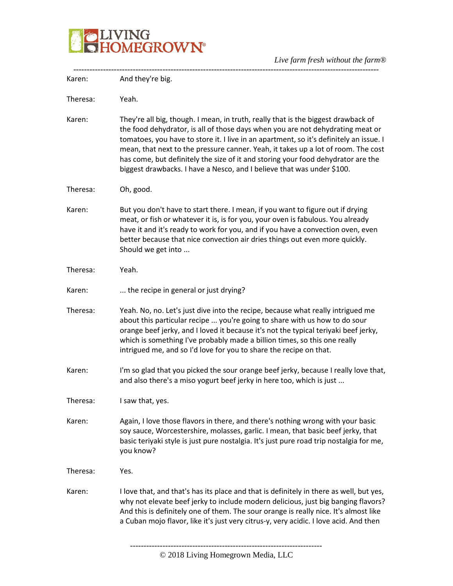

| Karen:   | And they're big.                                                                                                                                                                                                                                                                                                                                                                                                                                                                                                 |
|----------|------------------------------------------------------------------------------------------------------------------------------------------------------------------------------------------------------------------------------------------------------------------------------------------------------------------------------------------------------------------------------------------------------------------------------------------------------------------------------------------------------------------|
| Theresa: | Yeah.                                                                                                                                                                                                                                                                                                                                                                                                                                                                                                            |
| Karen:   | They're all big, though. I mean, in truth, really that is the biggest drawback of<br>the food dehydrator, is all of those days when you are not dehydrating meat or<br>tomatoes, you have to store it. I live in an apartment, so it's definitely an issue. I<br>mean, that next to the pressure canner. Yeah, it takes up a lot of room. The cost<br>has come, but definitely the size of it and storing your food dehydrator are the<br>biggest drawbacks. I have a Nesco, and I believe that was under \$100. |
| Theresa: | Oh, good.                                                                                                                                                                                                                                                                                                                                                                                                                                                                                                        |
| Karen:   | But you don't have to start there. I mean, if you want to figure out if drying<br>meat, or fish or whatever it is, is for you, your oven is fabulous. You already<br>have it and it's ready to work for you, and if you have a convection oven, even<br>better because that nice convection air dries things out even more quickly.<br>Should we get into                                                                                                                                                        |
| Theresa: | Yeah.                                                                                                                                                                                                                                                                                                                                                                                                                                                                                                            |
| Karen:   | the recipe in general or just drying?                                                                                                                                                                                                                                                                                                                                                                                                                                                                            |
| Theresa: | Yeah. No, no. Let's just dive into the recipe, because what really intrigued me<br>about this particular recipe  you're going to share with us how to do sour<br>orange beef jerky, and I loved it because it's not the typical teriyaki beef jerky,<br>which is something I've probably made a billion times, so this one really<br>intrigued me, and so I'd love for you to share the recipe on that.                                                                                                          |
| Karen:   | I'm so glad that you picked the sour orange beef jerky, because I really love that,<br>and also there's a miso yogurt beef jerky in here too, which is just                                                                                                                                                                                                                                                                                                                                                      |
| Theresa: | I saw that, yes.                                                                                                                                                                                                                                                                                                                                                                                                                                                                                                 |
| Karen:   | Again, I love those flavors in there, and there's nothing wrong with your basic<br>soy sauce, Worcestershire, molasses, garlic. I mean, that basic beef jerky, that<br>basic teriyaki style is just pure nostalgia. It's just pure road trip nostalgia for me,<br>you know?                                                                                                                                                                                                                                      |
| Theresa: | Yes.                                                                                                                                                                                                                                                                                                                                                                                                                                                                                                             |
| Karen:   | I love that, and that's has its place and that is definitely in there as well, but yes,<br>why not elevate beef jerky to include modern delicious, just big banging flavors?<br>And this is definitely one of them. The sour orange is really nice. It's almost like<br>a Cuban mojo flavor, like it's just very citrus-y, very acidic. I love acid. And then                                                                                                                                                    |
|          |                                                                                                                                                                                                                                                                                                                                                                                                                                                                                                                  |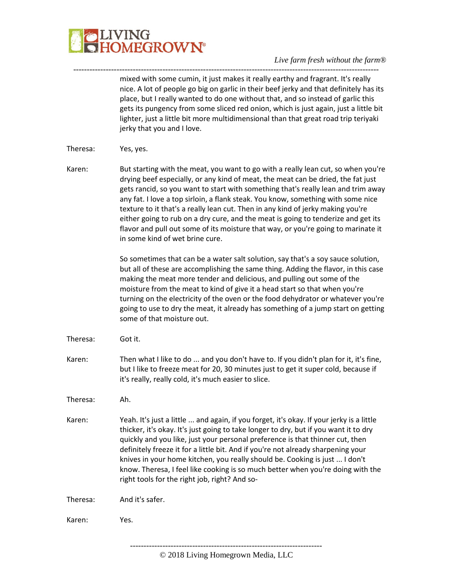

---------------------------------------------------------------------------------------------------------------- mixed with some cumin, it just makes it really earthy and fragrant. It's really nice. A lot of people go big on garlic in their beef jerky and that definitely has its place, but I really wanted to do one without that, and so instead of garlic this gets its pungency from some sliced red onion, which is just again, just a little bit lighter, just a little bit more multidimensional than that great road trip teriyaki jerky that you and I love.

- Theresa: Yes, yes.
- Karen: But starting with the meat, you want to go with a really lean cut, so when you're drying beef especially, or any kind of meat, the meat can be dried, the fat just gets rancid, so you want to start with something that's really lean and trim away any fat. I love a top sirloin, a flank steak. You know, something with some nice texture to it that's a really lean cut. Then in any kind of jerky making you're either going to rub on a dry cure, and the meat is going to tenderize and get its flavor and pull out some of its moisture that way, or you're going to marinate it in some kind of wet brine cure.

So sometimes that can be a water salt solution, say that's a soy sauce solution, but all of these are accomplishing the same thing. Adding the flavor, in this case making the meat more tender and delicious, and pulling out some of the moisture from the meat to kind of give it a head start so that when you're turning on the electricity of the oven or the food dehydrator or whatever you're going to use to dry the meat, it already has something of a jump start on getting some of that moisture out.

- Theresa: Got it.
- Karen: Then what I like to do ... and you don't have to. If you didn't plan for it, it's fine, but I like to freeze meat for 20, 30 minutes just to get it super cold, because if it's really, really cold, it's much easier to slice.

Theresa: Ah.

Karen: Yeah. It's just a little ... and again, if you forget, it's okay. If your jerky is a little thicker, it's okay. It's just going to take longer to dry, but if you want it to dry quickly and you like, just your personal preference is that thinner cut, then definitely freeze it for a little bit. And if you're not already sharpening your knives in your home kitchen, you really should be. Cooking is just ... I don't know. Theresa, I feel like cooking is so much better when you're doing with the right tools for the right job, right? And so-

Theresa: And it's safer.

Karen: Yes.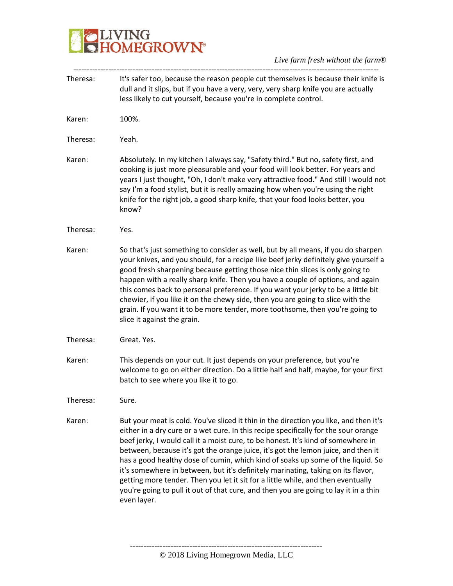## **BELIVING**<br>**BELIVING**<br> **BELIVING**

| Theresa: | It's safer too, because the reason people cut themselves is because their knife is<br>dull and it slips, but if you have a very, very, very sharp knife you are actually<br>less likely to cut yourself, because you're in complete control.                                                                                                                                                                                                                                                                                                                                                                                                                                                                             |
|----------|--------------------------------------------------------------------------------------------------------------------------------------------------------------------------------------------------------------------------------------------------------------------------------------------------------------------------------------------------------------------------------------------------------------------------------------------------------------------------------------------------------------------------------------------------------------------------------------------------------------------------------------------------------------------------------------------------------------------------|
| Karen:   | 100%.                                                                                                                                                                                                                                                                                                                                                                                                                                                                                                                                                                                                                                                                                                                    |
| Theresa: | Yeah.                                                                                                                                                                                                                                                                                                                                                                                                                                                                                                                                                                                                                                                                                                                    |
| Karen:   | Absolutely. In my kitchen I always say, "Safety third." But no, safety first, and<br>cooking is just more pleasurable and your food will look better. For years and<br>years I just thought, "Oh, I don't make very attractive food." And still I would not<br>say I'm a food stylist, but it is really amazing how when you're using the right<br>knife for the right job, a good sharp knife, that your food looks better, you<br>know?                                                                                                                                                                                                                                                                                |
| Theresa: | Yes.                                                                                                                                                                                                                                                                                                                                                                                                                                                                                                                                                                                                                                                                                                                     |
| Karen:   | So that's just something to consider as well, but by all means, if you do sharpen<br>your knives, and you should, for a recipe like beef jerky definitely give yourself a<br>good fresh sharpening because getting those nice thin slices is only going to<br>happen with a really sharp knife. Then you have a couple of options, and again<br>this comes back to personal preference. If you want your jerky to be a little bit<br>chewier, if you like it on the chewy side, then you are going to slice with the<br>grain. If you want it to be more tender, more toothsome, then you're going to<br>slice it against the grain.                                                                                     |
| Theresa: | Great. Yes.                                                                                                                                                                                                                                                                                                                                                                                                                                                                                                                                                                                                                                                                                                              |
| Karen:   | This depends on your cut. It just depends on your preference, but you're<br>welcome to go on either direction. Do a little half and half, maybe, for your first<br>batch to see where you like it to go.                                                                                                                                                                                                                                                                                                                                                                                                                                                                                                                 |
| Theresa: | Sure.                                                                                                                                                                                                                                                                                                                                                                                                                                                                                                                                                                                                                                                                                                                    |
| Karen:   | But your meat is cold. You've sliced it thin in the direction you like, and then it's<br>either in a dry cure or a wet cure. In this recipe specifically for the sour orange<br>beef jerky, I would call it a moist cure, to be honest. It's kind of somewhere in<br>between, because it's got the orange juice, it's got the lemon juice, and then it<br>has a good healthy dose of cumin, which kind of soaks up some of the liquid. So<br>it's somewhere in between, but it's definitely marinating, taking on its flavor,<br>getting more tender. Then you let it sit for a little while, and then eventually<br>you're going to pull it out of that cure, and then you are going to lay it in a thin<br>even layer. |
|          |                                                                                                                                                                                                                                                                                                                                                                                                                                                                                                                                                                                                                                                                                                                          |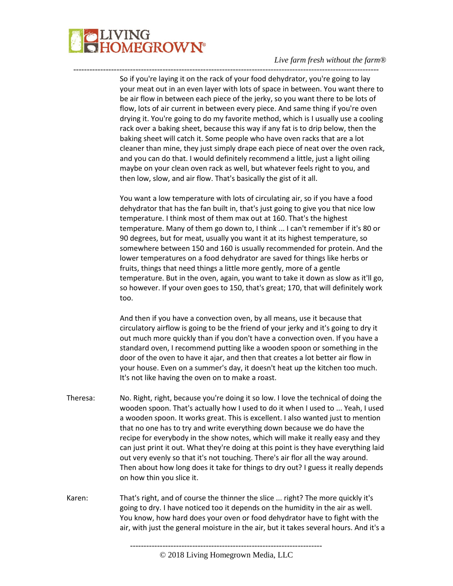

So if you're laying it on the rack of your food dehydrator, you're going to lay your meat out in an even layer with lots of space in between. You want there to be air flow in between each piece of the jerky, so you want there to be lots of flow, lots of air current in between every piece. And same thing if you're oven drying it. You're going to do my favorite method, which is I usually use a cooling rack over a baking sheet, because this way if any fat is to drip below, then the baking sheet will catch it. Some people who have oven racks that are a lot cleaner than mine, they just simply drape each piece of neat over the oven rack, and you can do that. I would definitely recommend a little, just a light oiling maybe on your clean oven rack as well, but whatever feels right to you, and then low, slow, and air flow. That's basically the gist of it all.

-----------------------------------------------------------------------------------------------------------------

You want a low temperature with lots of circulating air, so if you have a food dehydrator that has the fan built in, that's just going to give you that nice low temperature. I think most of them max out at 160. That's the highest temperature. Many of them go down to, I think ... I can't remember if it's 80 or 90 degrees, but for meat, usually you want it at its highest temperature, so somewhere between 150 and 160 is usually recommended for protein. And the lower temperatures on a food dehydrator are saved for things like herbs or fruits, things that need things a little more gently, more of a gentle temperature. But in the oven, again, you want to take it down as slow as it'll go, so however. If your oven goes to 150, that's great; 170, that will definitely work too.

And then if you have a convection oven, by all means, use it because that circulatory airflow is going to be the friend of your jerky and it's going to dry it out much more quickly than if you don't have a convection oven. If you have a standard oven, I recommend putting like a wooden spoon or something in the door of the oven to have it ajar, and then that creates a lot better air flow in your house. Even on a summer's day, it doesn't heat up the kitchen too much. It's not like having the oven on to make a roast.

- Theresa: No. Right, right, because you're doing it so low. I love the technical of doing the wooden spoon. That's actually how I used to do it when I used to ... Yeah, I used a wooden spoon. It works great. This is excellent. I also wanted just to mention that no one has to try and write everything down because we do have the recipe for everybody in the show notes, which will make it really easy and they can just print it out. What they're doing at this point is they have everything laid out very evenly so that it's not touching. There's air flor all the way around. Then about how long does it take for things to dry out? I guess it really depends on how thin you slice it.
- Karen: That's right, and of course the thinner the slice ... right? The more quickly it's going to dry. I have noticed too it depends on the humidity in the air as well. You know, how hard does your oven or food dehydrator have to fight with the air, with just the general moisture in the air, but it takes several hours. And it's a

<sup>-----------------------------------------------------------------------</sup>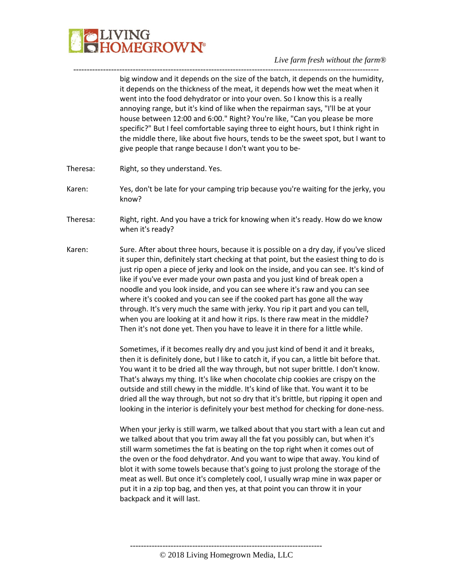

---------------------------------------------------------------------------------------------------------------- big window and it depends on the size of the batch, it depends on the humidity, it depends on the thickness of the meat, it depends how wet the meat when it went into the food dehydrator or into your oven. So I know this is a really annoying range, but it's kind of like when the repairman says, "I'll be at your house between 12:00 and 6:00." Right? You're like, "Can you please be more specific?" But I feel comfortable saying three to eight hours, but I think right in the middle there, like about five hours, tends to be the sweet spot, but I want to give people that range because I don't want you to be-

- Theresa: Right, so they understand. Yes.
- Karen: Yes, don't be late for your camping trip because you're waiting for the jerky, you know?
- Theresa: Right, right. And you have a trick for knowing when it's ready. How do we know when it's ready?
- Karen: Sure. After about three hours, because it is possible on a dry day, if you've sliced it super thin, definitely start checking at that point, but the easiest thing to do is just rip open a piece of jerky and look on the inside, and you can see. It's kind of like if you've ever made your own pasta and you just kind of break open a noodle and you look inside, and you can see where it's raw and you can see where it's cooked and you can see if the cooked part has gone all the way through. It's very much the same with jerky. You rip it part and you can tell, when you are looking at it and how it rips. Is there raw meat in the middle? Then it's not done yet. Then you have to leave it in there for a little while.

Sometimes, if it becomes really dry and you just kind of bend it and it breaks, then it is definitely done, but I like to catch it, if you can, a little bit before that. You want it to be dried all the way through, but not super brittle. I don't know. That's always my thing. It's like when chocolate chip cookies are crispy on the outside and still chewy in the middle. It's kind of like that. You want it to be dried all the way through, but not so dry that it's brittle, but ripping it open and looking in the interior is definitely your best method for checking for done-ness.

When your jerky is still warm, we talked about that you start with a lean cut and we talked about that you trim away all the fat you possibly can, but when it's still warm sometimes the fat is beating on the top right when it comes out of the oven or the food dehydrator. And you want to wipe that away. You kind of blot it with some towels because that's going to just prolong the storage of the meat as well. But once it's completely cool, I usually wrap mine in wax paper or put it in a zip top bag, and then yes, at that point you can throw it in your backpack and it will last.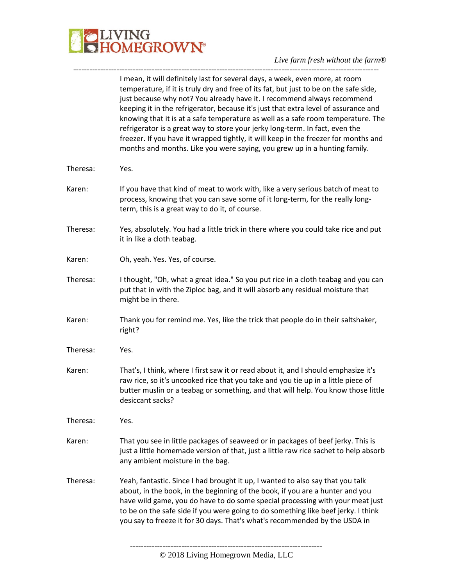

*Live farm fresh without the farm®* -----------------------------------------------------------------------------------------------------------------

|          | I mean, it will definitely last for several days, a week, even more, at room<br>temperature, if it is truly dry and free of its fat, but just to be on the safe side,<br>just because why not? You already have it. I recommend always recommend<br>keeping it in the refrigerator, because it's just that extra level of assurance and<br>knowing that it is at a safe temperature as well as a safe room temperature. The<br>refrigerator is a great way to store your jerky long-term. In fact, even the<br>freezer. If you have it wrapped tightly, it will keep in the freezer for months and<br>months and months. Like you were saying, you grew up in a hunting family. |
|----------|---------------------------------------------------------------------------------------------------------------------------------------------------------------------------------------------------------------------------------------------------------------------------------------------------------------------------------------------------------------------------------------------------------------------------------------------------------------------------------------------------------------------------------------------------------------------------------------------------------------------------------------------------------------------------------|
| Theresa: | Yes.                                                                                                                                                                                                                                                                                                                                                                                                                                                                                                                                                                                                                                                                            |
| Karen:   | If you have that kind of meat to work with, like a very serious batch of meat to<br>process, knowing that you can save some of it long-term, for the really long-<br>term, this is a great way to do it, of course.                                                                                                                                                                                                                                                                                                                                                                                                                                                             |
| Theresa: | Yes, absolutely. You had a little trick in there where you could take rice and put<br>it in like a cloth teabag.                                                                                                                                                                                                                                                                                                                                                                                                                                                                                                                                                                |
| Karen:   | Oh, yeah. Yes. Yes, of course.                                                                                                                                                                                                                                                                                                                                                                                                                                                                                                                                                                                                                                                  |
| Theresa: | I thought, "Oh, what a great idea." So you put rice in a cloth teabag and you can<br>put that in with the Ziploc bag, and it will absorb any residual moisture that<br>might be in there.                                                                                                                                                                                                                                                                                                                                                                                                                                                                                       |
| Karen:   | Thank you for remind me. Yes, like the trick that people do in their saltshaker,<br>right?                                                                                                                                                                                                                                                                                                                                                                                                                                                                                                                                                                                      |
| Theresa: | Yes.                                                                                                                                                                                                                                                                                                                                                                                                                                                                                                                                                                                                                                                                            |
| Karen:   | That's, I think, where I first saw it or read about it, and I should emphasize it's<br>raw rice, so it's uncooked rice that you take and you tie up in a little piece of<br>butter muslin or a teabag or something, and that will help. You know those little<br>desiccant sacks?                                                                                                                                                                                                                                                                                                                                                                                               |
| Theresa: | Yes.                                                                                                                                                                                                                                                                                                                                                                                                                                                                                                                                                                                                                                                                            |
| Karen:   | That you see in little packages of seaweed or in packages of beef jerky. This is<br>just a little homemade version of that, just a little raw rice sachet to help absorb<br>any ambient moisture in the bag.                                                                                                                                                                                                                                                                                                                                                                                                                                                                    |
| Theresa: | Yeah, fantastic. Since I had brought it up, I wanted to also say that you talk<br>about, in the book, in the beginning of the book, if you are a hunter and you<br>have wild game, you do have to do some special processing with your meat just<br>to be on the safe side if you were going to do something like beef jerky. I think<br>you say to freeze it for 30 days. That's what's recommended by the USDA in                                                                                                                                                                                                                                                             |
|          |                                                                                                                                                                                                                                                                                                                                                                                                                                                                                                                                                                                                                                                                                 |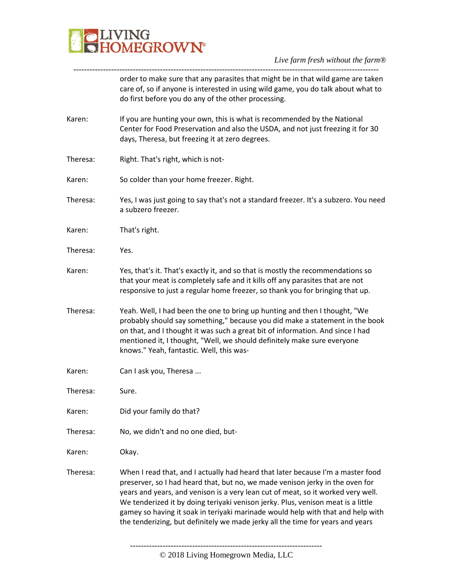

| order to make sure that any parasites that might be in that wild game are taken<br>care of, so if anyone is interested in using wild game, you do talk about what to<br>do first before you do any of the other processing.                                                                                                                                                                                                                                                                                   |
|---------------------------------------------------------------------------------------------------------------------------------------------------------------------------------------------------------------------------------------------------------------------------------------------------------------------------------------------------------------------------------------------------------------------------------------------------------------------------------------------------------------|
| If you are hunting your own, this is what is recommended by the National<br>Center for Food Preservation and also the USDA, and not just freezing it for 30<br>days, Theresa, but freezing it at zero degrees.                                                                                                                                                                                                                                                                                                |
| Right. That's right, which is not-                                                                                                                                                                                                                                                                                                                                                                                                                                                                            |
| So colder than your home freezer. Right.                                                                                                                                                                                                                                                                                                                                                                                                                                                                      |
| Yes, I was just going to say that's not a standard freezer. It's a subzero. You need<br>a subzero freezer.                                                                                                                                                                                                                                                                                                                                                                                                    |
| That's right.                                                                                                                                                                                                                                                                                                                                                                                                                                                                                                 |
| Yes.                                                                                                                                                                                                                                                                                                                                                                                                                                                                                                          |
| Yes, that's it. That's exactly it, and so that is mostly the recommendations so<br>that your meat is completely safe and it kills off any parasites that are not<br>responsive to just a regular home freezer, so thank you for bringing that up.                                                                                                                                                                                                                                                             |
| Yeah. Well, I had been the one to bring up hunting and then I thought, "We<br>probably should say something," because you did make a statement in the book<br>on that, and I thought it was such a great bit of information. And since I had<br>mentioned it, I thought, "Well, we should definitely make sure everyone<br>knows." Yeah, fantastic. Well, this was-                                                                                                                                           |
| Can I ask you, Theresa                                                                                                                                                                                                                                                                                                                                                                                                                                                                                        |
| Sure.                                                                                                                                                                                                                                                                                                                                                                                                                                                                                                         |
| Did your family do that?                                                                                                                                                                                                                                                                                                                                                                                                                                                                                      |
| No, we didn't and no one died, but-                                                                                                                                                                                                                                                                                                                                                                                                                                                                           |
| Okay.                                                                                                                                                                                                                                                                                                                                                                                                                                                                                                         |
| When I read that, and I actually had heard that later because I'm a master food<br>preserver, so I had heard that, but no, we made venison jerky in the oven for<br>years and years, and venison is a very lean cut of meat, so it worked very well.<br>We tenderized it by doing teriyaki venison jerky. Plus, venison meat is a little<br>gamey so having it soak in teriyaki marinade would help with that and help with<br>the tenderizing, but definitely we made jerky all the time for years and years |
|                                                                                                                                                                                                                                                                                                                                                                                                                                                                                                               |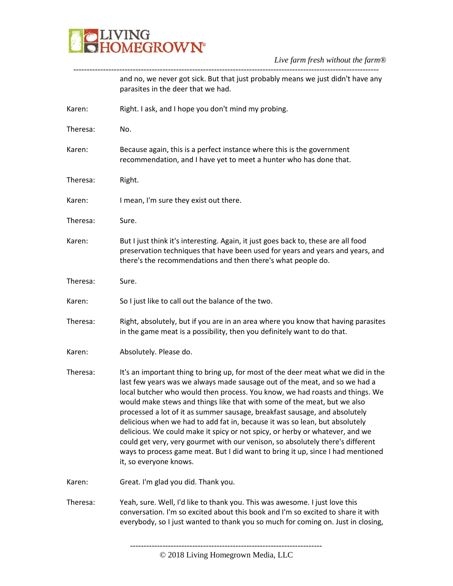

|          | and no, we never got sick. But that just probably means we just didn't have any<br>parasites in the deer that we had.                                                                                                                                                                                                                                                                                                                                                                                                                                                                                                                                                                                                                                                   |
|----------|-------------------------------------------------------------------------------------------------------------------------------------------------------------------------------------------------------------------------------------------------------------------------------------------------------------------------------------------------------------------------------------------------------------------------------------------------------------------------------------------------------------------------------------------------------------------------------------------------------------------------------------------------------------------------------------------------------------------------------------------------------------------------|
| Karen:   | Right. I ask, and I hope you don't mind my probing.                                                                                                                                                                                                                                                                                                                                                                                                                                                                                                                                                                                                                                                                                                                     |
| Theresa: | No.                                                                                                                                                                                                                                                                                                                                                                                                                                                                                                                                                                                                                                                                                                                                                                     |
| Karen:   | Because again, this is a perfect instance where this is the government<br>recommendation, and I have yet to meet a hunter who has done that.                                                                                                                                                                                                                                                                                                                                                                                                                                                                                                                                                                                                                            |
| Theresa: | Right.                                                                                                                                                                                                                                                                                                                                                                                                                                                                                                                                                                                                                                                                                                                                                                  |
| Karen:   | I mean, I'm sure they exist out there.                                                                                                                                                                                                                                                                                                                                                                                                                                                                                                                                                                                                                                                                                                                                  |
| Theresa: | Sure.                                                                                                                                                                                                                                                                                                                                                                                                                                                                                                                                                                                                                                                                                                                                                                   |
| Karen:   | But I just think it's interesting. Again, it just goes back to, these are all food<br>preservation techniques that have been used for years and years and years, and<br>there's the recommendations and then there's what people do.                                                                                                                                                                                                                                                                                                                                                                                                                                                                                                                                    |
| Theresa: | Sure.                                                                                                                                                                                                                                                                                                                                                                                                                                                                                                                                                                                                                                                                                                                                                                   |
| Karen:   | So I just like to call out the balance of the two.                                                                                                                                                                                                                                                                                                                                                                                                                                                                                                                                                                                                                                                                                                                      |
| Theresa: | Right, absolutely, but if you are in an area where you know that having parasites<br>in the game meat is a possibility, then you definitely want to do that.                                                                                                                                                                                                                                                                                                                                                                                                                                                                                                                                                                                                            |
| Karen:   | Absolutely. Please do.                                                                                                                                                                                                                                                                                                                                                                                                                                                                                                                                                                                                                                                                                                                                                  |
| Theresa: | It's an important thing to bring up, for most of the deer meat what we did in the<br>last few years was we always made sausage out of the meat, and so we had a<br>local butcher who would then process. You know, we had roasts and things. We<br>would make stews and things like that with some of the meat, but we also<br>processed a lot of it as summer sausage, breakfast sausage, and absolutely<br>delicious when we had to add fat in, because it was so lean, but absolutely<br>delicious. We could make it spicy or not spicy, or herby or whatever, and we<br>could get very, very gourmet with our venison, so absolutely there's different<br>ways to process game meat. But I did want to bring it up, since I had mentioned<br>it, so everyone knows. |
| Karen:   | Great. I'm glad you did. Thank you.                                                                                                                                                                                                                                                                                                                                                                                                                                                                                                                                                                                                                                                                                                                                     |
| Theresa: | Yeah, sure. Well, I'd like to thank you. This was awesome. I just love this<br>conversation. I'm so excited about this book and I'm so excited to share it with<br>everybody, so I just wanted to thank you so much for coming on. Just in closing,                                                                                                                                                                                                                                                                                                                                                                                                                                                                                                                     |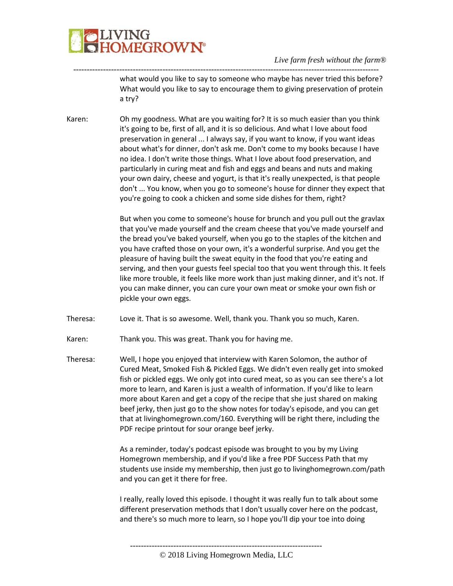

---------------------------------------------------------------------------------------------------------------- what would you like to say to someone who maybe has never tried this before? What would you like to say to encourage them to giving preservation of protein a try?

Karen: Oh my goodness. What are you waiting for? It is so much easier than you think it's going to be, first of all, and it is so delicious. And what I love about food preservation in general ... I always say, if you want to know, if you want ideas about what's for dinner, don't ask me. Don't come to my books because I have no idea. I don't write those things. What I love about food preservation, and particularly in curing meat and fish and eggs and beans and nuts and making your own dairy, cheese and yogurt, is that it's really unexpected, is that people don't ... You know, when you go to someone's house for dinner they expect that you're going to cook a chicken and some side dishes for them, right?

> But when you come to someone's house for brunch and you pull out the gravlax that you've made yourself and the cream cheese that you've made yourself and the bread you've baked yourself, when you go to the staples of the kitchen and you have crafted those on your own, it's a wonderful surprise. And you get the pleasure of having built the sweat equity in the food that you're eating and serving, and then your guests feel special too that you went through this. It feels like more trouble, it feels like more work than just making dinner, and it's not. If you can make dinner, you can cure your own meat or smoke your own fish or pickle your own eggs.

- Theresa: Love it. That is so awesome. Well, thank you. Thank you so much, Karen.
- Karen: Thank you. This was great. Thank you for having me.
- Theresa: Well, I hope you enjoyed that interview with Karen Solomon, the author of Cured Meat, Smoked Fish & Pickled Eggs. We didn't even really get into smoked fish or pickled eggs. We only got into cured meat, so as you can see there's a lot more to learn, and Karen is just a wealth of information. If you'd like to learn more about Karen and get a copy of the recipe that she just shared on making beef jerky, then just go to the show notes for today's episode, and you can get that at livinghomegrown.com/160. Everything will be right there, including the PDF recipe printout for sour orange beef jerky.

As a reminder, today's podcast episode was brought to you by my Living Homegrown membership, and if you'd like a free PDF Success Path that my students use inside my membership, then just go to livinghomegrown.com/path and you can get it there for free.

I really, really loved this episode. I thought it was really fun to talk about some different preservation methods that I don't usually cover here on the podcast, and there's so much more to learn, so I hope you'll dip your toe into doing

<sup>-----------------------------------------------------------------------</sup>